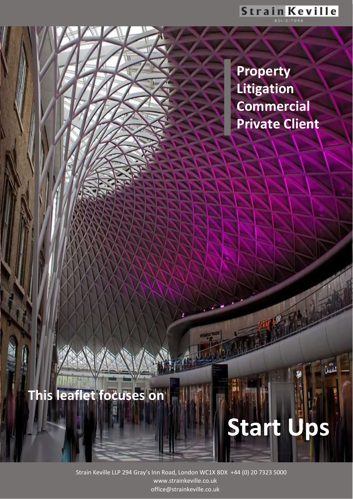**Property Litigation Commercial Private Client**

**Start Ups**

# **This leaflet focuses on**

www.strain Keville LLP 294 Gray's Inn Road, London WC1X 8DX +44 (0) 20 7323 5000 www.strainkeville.co.uk office@strainkeville.co.uk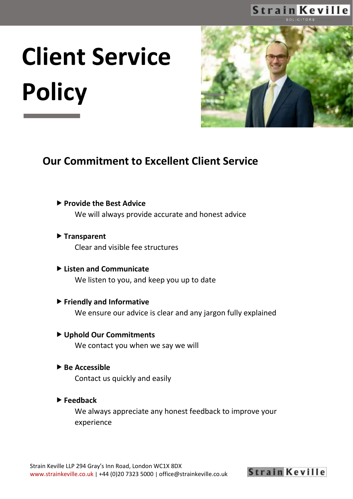# **Client Service Policy**



#### **Our Commitment to Excellent Client Service**

**Provide the Best Advice**

We will always provide accurate and honest advice

- **Transparent** Clear and visible fee structures
- **Listen and Communicate** We listen to you, and keep you up to date
- **Friendly and Informative** We ensure our advice is clear and any jargon fully explained
- **Uphold Our Commitments** We contact you when we say we will
- **▶ Be Accessible** Contact us quickly and easily
- **Feedback**

We always appreciate any honest feedback to improve your experience

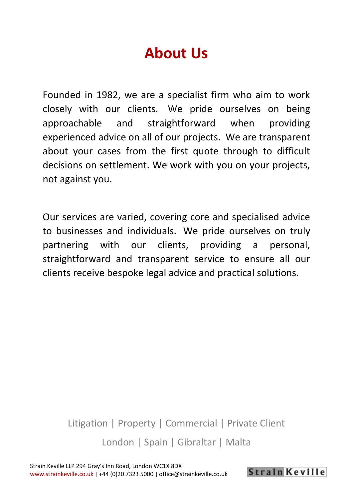# **About Us**

Founded in 1982, we are a specialist firm who aim to work closely with our clients. We pride ourselves on being approachable and straightforward when providing experienced advice on all of our projects. We are transparent about your cases from the first quote through to difficult decisions on settlement. We work with you on your projects, not against you.

Our services are varied, covering core and specialised advice to businesses and individuals. We pride ourselves on truly partnering with our clients, providing a personal, straightforward and transparent service to ensure all our clients receive bespoke legal advice and practical solutions.

Litigation | Property | Commercial | Private Client London | Spain | Gibraltar | Malta

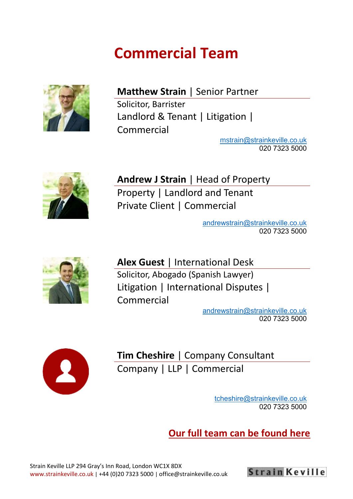# **Commercial Team**



#### **Matthew Strain** | Senior Partner

Solicitor, Barrister Landlord & Tenant | Litigation | Commercial

[mstrain@strainkeville.co.uk](mailto:mstrain@strainkeville.co.uk) 020 7323 5000



**Andrew J Strain** | Head of Property Property | Landlord and Tenant Private Client | Commercial

> [andrewstrain@strainkeville.co.uk](mailto:andrewstrain@strainkeville.co.uk) 020 7323 5000



**Alex Guest** | International Desk Solicitor, Abogado (Spanish Lawyer) Litigation | International Disputes | Commercial

[andrewstrain@strainkeville.co.uk](mailto:andrewstrain@strainkeville.co.uk) 020 7323 5000



**Tim Cheshire** | Company Consultant Company | LLP | Commercial

> [tcheshire@strainkeville.co.uk](mailto:tcheshire@strainkeville.co.uk) 020 7323 5000

**[Our full team can be found here](https://www.strainkeville.co.uk/our-team/)**

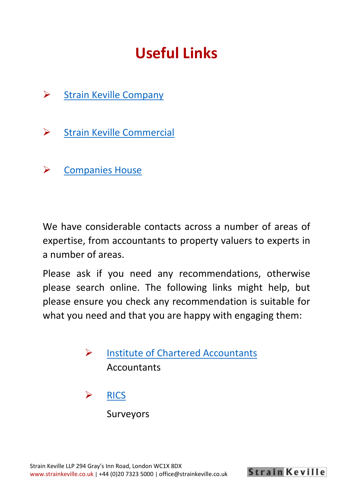# **Useful Links**

- ➢ [Strain Keville Company](https://www.strainkeville.co.uk/company/)
- ➢ [Strain Keville Commercial](https://www.strainkeville.co.uk/commercial/)
- ➢ [Companies House](https://beta.companieshouse.gov.uk/)

We have considerable contacts across a number of areas of expertise, from accountants to property valuers to experts in a number of areas.

Please ask if you need any recommendations, otherwise please search online. The following links might help, but please ensure you check any recommendation is suitable for what you need and that you are happy with engaging them:

- ➢ [Institute of Chartered Accountants](https://www.icaew.com/) **Accountants**
- ➢ [RICS](https://www.ricsfirms.com/)

Surveyors

**Strain Keville**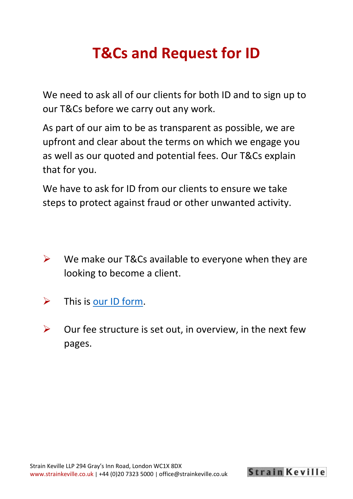# **T&Cs and Request for ID**

We need to ask all of our clients for both ID and to sign up to our T&Cs before we carry out any work.

As part of our aim to be as transparent as possible, we are upfront and clear about the terms on which we engage you as well as our quoted and potential fees. Our T&Cs explain that for you.

We have to ask for ID from our clients to ensure we take steps to protect against fraud or other unwanted activity.

- $\triangleright$  We make our T&Cs available to everyone when they are looking to become a client.
- $\triangleright$  This is <u>our ID form</u>.
- $\triangleright$  Our fee structure is set out, in overview, in the next few pages.

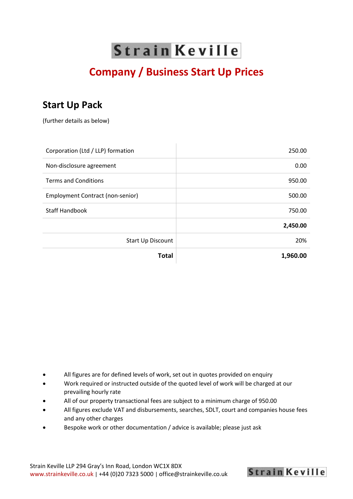### **Company / Business Start Up Prices**

#### **Start Up Pack**

(further details as below)

| Corporation (Ltd / LLP) formation | 250.00   |
|-----------------------------------|----------|
| Non-disclosure agreement          | 0.00     |
| <b>Terms and Conditions</b>       | 950.00   |
| Employment Contract (non-senior)  | 500.00   |
| <b>Staff Handbook</b>             | 750.00   |
|                                   | 2,450.00 |
| Start Up Discount                 | 20%      |
| <b>Total</b>                      | 1,960.00 |

- All figures are for defined levels of work, set out in quotes provided on enquiry
- Work required or instructed outside of the quoted level of work will be charged at our prevailing hourly rate
- All of our property transactional fees are subject to a minimum charge of 950.00
- All figures exclude VAT and disbursements, searches, SDLT, court and companies house fees and any other charges

**Strain Keville** 

• Bespoke work or other documentation / advice is available; please just ask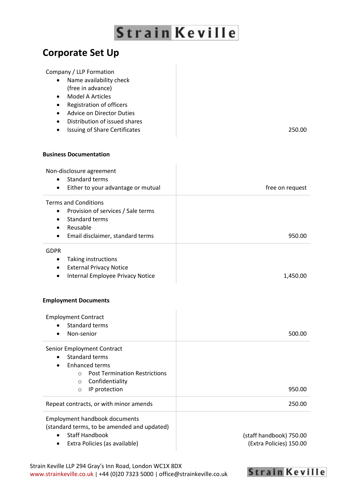#### **Corporate Set Up**

#### Company / LLP Formation

- Name availability check (free in advance)
- Model A Articles
- Registration of officers
- Advice on Director Duties
- Distribution of issued shares
- Issuing of Share Certificates 250.00

#### **Business Documentation**

| Non-disclosure agreement<br><b>Standard terms</b><br>$\bullet$<br>Either to your advantage or mutual<br>$\bullet$                                                                                                   | free on request                                    |
|---------------------------------------------------------------------------------------------------------------------------------------------------------------------------------------------------------------------|----------------------------------------------------|
| <b>Terms and Conditions</b><br>Provision of services / Sale terms<br>$\bullet$<br>Standard terms<br>$\bullet$<br>Reusable<br>$\bullet$<br>Email disclaimer, standard terms<br>٠                                     | 950.00                                             |
| <b>GDPR</b><br>Taking instructions<br>$\bullet$<br><b>External Privacy Notice</b><br>$\bullet$<br>Internal Employee Privacy Notice<br>$\bullet$                                                                     | 1,450.00                                           |
| <b>Employment Documents</b>                                                                                                                                                                                         |                                                    |
| <b>Employment Contract</b><br><b>Standard terms</b><br>Non-senior                                                                                                                                                   | 500.00                                             |
| Senior Employment Contract<br><b>Standard terms</b><br>$\bullet$<br><b>Enhanced terms</b><br>$\bullet$<br><b>Post Termination Restrictions</b><br>$\circ$<br>Confidentiality<br>$\circ$<br>IP protection<br>$\circ$ | 950.00                                             |
| Repeat contracts, or with minor amends                                                                                                                                                                              | 250.00                                             |
| <b>Employment handbook documents</b><br>(standard terms, to be amended and updated)<br><b>Staff Handbook</b><br>Extra Policies (as available)<br>٠                                                                  | (staff handbook) 750.00<br>(Extra Policies) 150.00 |

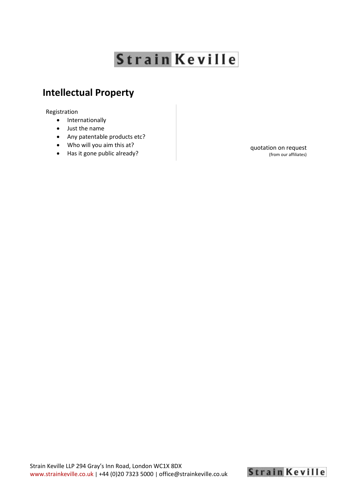#### **Intellectual Property**

Registration

- Internationally
- Just the name
- Any patentable products etc?
- Who will you aim this at?
- Has it gone public already?

quotation on request (from our affiliates)